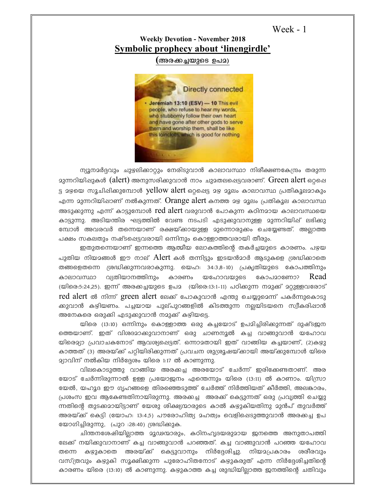```
Week - 1
```
## **Weekly Devotion - November 2018 Symbolic prophecy about 'linengirdle'**

**(Ac-¡-¨-bpsS D]-a)**



ന്യൂനമർദ്ദവും ചുഴലിക്കാറ്റും നേരിടുവാൻ കാലാവസ്ഥാ നിരീക്ഷണകേന്ദ്രം തരുന്ന  $q_3$ ന്നറിയിഷുകൾ (alert) അനുസരിക്കുവാൻ നാം ചുമതലപ്പെട്ടവരാണ്. Green alert ഒറ്റപ്പെ ട്ട മഴയെ സൂചിഷിക്കുമ്പോൾ yellow alert ഒറ്റപ്പെട്ട മഴ മൂലം കാലാവസ്ഥ പ്രതികൂലമാകും എന്ന മുന്നറിയിഷാണ് നൽകുന്നത്.  $O$ range a $\operatorname{lert}$  കനത്ത മഴ മൂലം പ്രതികൂല കാലാവസ്ഥ അടുക്കുന്നു എന്ന് കാട്ടുമ്പോൾ  $\,$ re $\,$ d $\,$ aler $\,$ t വരുവാൻ പോകുന്ന കഠിനമായ കാലാവസ്ഥയെ കാട്ടുന്നു. അടിയന്തിര ഘട്ടത്തിൽ വേണ്ട നടപടി എടുക്കുവാനുള്ള മുന്നറിയിഷ് ലഭിക്കു mോൾ അവരവർ തന്നെയാണ് രക്ഷയ്കായുള്ള മുന്നൊരുക്കം ചെയ്യേണ്ടത്. അല്ലാത്ത പക്ഷം സകലതും നഷ്ടപ്പെട്ടവരായി ഒന്നിനും കൊള്ളാത്തവരായി തീരും.

ഇതുതന്നെയാണ് ഇന്നത്തെ ആത്മീയ ലോകത്തിന്റെ തകർച്ചയുടെ കാരണം. പഴയ പുതിയ നിയമങ്ങൾ ഈ നാല്  $A$ lert കൾ തന്നിട്ടും ഇടയൻമാർ ആടുകളെ ശ്രദ്ധിക്കാതെ തങ്ങളെതന്നെ ശ്രദ്ധിക്കുന്നവരാകുന്നു. യെഹ: 34:3,8-10) പ്രകൃതിയുടെ കോപത്തിനും കാലാവസ്ഥാ വ്യതിയാനത്തിനും കാരണം യഹോവയുടെ കോപമാണോ?  $\operatorname{Read}$ (യിരെ:5:24,25). ഇന്ന് അരക്കച്ചയുടെ ഉപ $_2$  (യിരെ:13:1-11) പഠിക്കുന്ന നമുക്ക് മറ്റുള്ളവരോട് red alert ൽ നിന്ന് green alert ലേക്ക് പോകുവാൻ എന്തു ചെയ്യുമെന്ന് പകർന്നുകൊടു ക്കുവാൻ കഴിയണം. പച്ചയായ പുല്പുറങ്ങളിൽ കിടത്തുന്ന നല്ലയിടയനെ സ്വീകരിഷാൻ അനേകരെ ഒരുക്കി എടുക്കുവാൻ നമുക്ക് കഴിയട്ടെ.

യിരെ (13:10) ഒന്നിനും കൊള്ളാത്ത ഒരു കച്ചയോട് ഉപദിച്ചിരിക്കുന്നത് ദുഷ്ടജന ത്തെയാണ്. ഇത് വിശദമാകുവാനാണ് ഒരു ചാണനൂൽ കച്ച വാങ്ങുവാൻ യഹോവ യിരെദ്യാ പ്രവാചകനോട് ആവശ്യപ്പെട്ടത്. ഒന്നാമതായി ഇത് വാങ്ങിയ കച്ചയാണ്, (2)കഴു കാത്തത് (3) അരയ്ക്ക് പറ്റിയിരിക്കുന്നത് പ്രവചന ശുശ്രൂഷയ്കായി അയ്ക്കുമ്പോൾ യിരെ  $\alpha$ ്വാവിന് നൽകിയ നിർദ്ദേശം യിരെ 1:17 ൽ കാണുന്നു.

h വിലകൊടുത്തു വാങ്ങിയ അരക്കച്ച അരയോട് ചേർന്ന് ഇരിക്കേണ്ടതാണ്. അര യോട് ചേർന്നിരുന്നാൽ ഉള്ള പ്രയോജനം എന്തെന്നും യിരെ (13:11) ൽ കാണാം. യിസ്രാ യേൽ, യഹൂദ ഈ ഗൃഹങ്ങളെ തിരഞ്ഞെടുത്ത് ചേർത്ത് നിർത്തിയത് കീർത്തി, അലങ്കാരം, ്പ്രശംസ ഇവ ആകേണ്ടതിനായിരുന്നു. അരക്കച്ച അരക്ക് കെട്ടുന്നത് ഒരു പ്രവ്യത്തി ചെയ്യു ന്നതിന്റെ തുടക്കമായിട്ടാണ് യേശു ശിക്ഷ്യന്മാരുടെ കാൽ കഴുകിയതിനു മുൻപ് തുവർത്ത് അരയ്ക് കെട്ടി (യോഹ: 13:4,5) പൗരോഹിത്യ ദഹത്വം വെളിഷെടുത്തുവാൻ അരക്കച്ച ഉപ യോഗിച്ചിരുന്നു, (പുറ :28:40) ശ്രദ്ധിക്കുക.

ചിന്തനശേഷിയിലാത്ത മൂഢന്മാരും, കഠിനഹൃദയരുമായ ജനത്തെ അനുതാപത്തി ഭലക്ക് നയിക്കുവാനാണ് കച്ച വാങ്ങുവാൻ പറഞ്ഞത്. കച്ച വാങ്ങുവാൻ പറഞ്ഞ യഹോവ തന്നെ കഴുകാതെ അരയ്ക്ക് കെട്ടുവാനും നിർദ്ദേശിച്ചു. നിയമപ്രകാരം ശരീരവും വസ്ത്രവും കഴുകി സൂക്ഷിക്കുന്ന പുരോഹിതനോട് കഴുകരുത് എന്ന നിർദ്ദേശിച്ചതിന്റെ കാരണം യിരെ (13:10) ൽ കാണുന്നു. കഴുകാത്ത കച്ച ശുദ്ധിയില്ലാത്ത ജനത്തിന്റെ ചതിവും